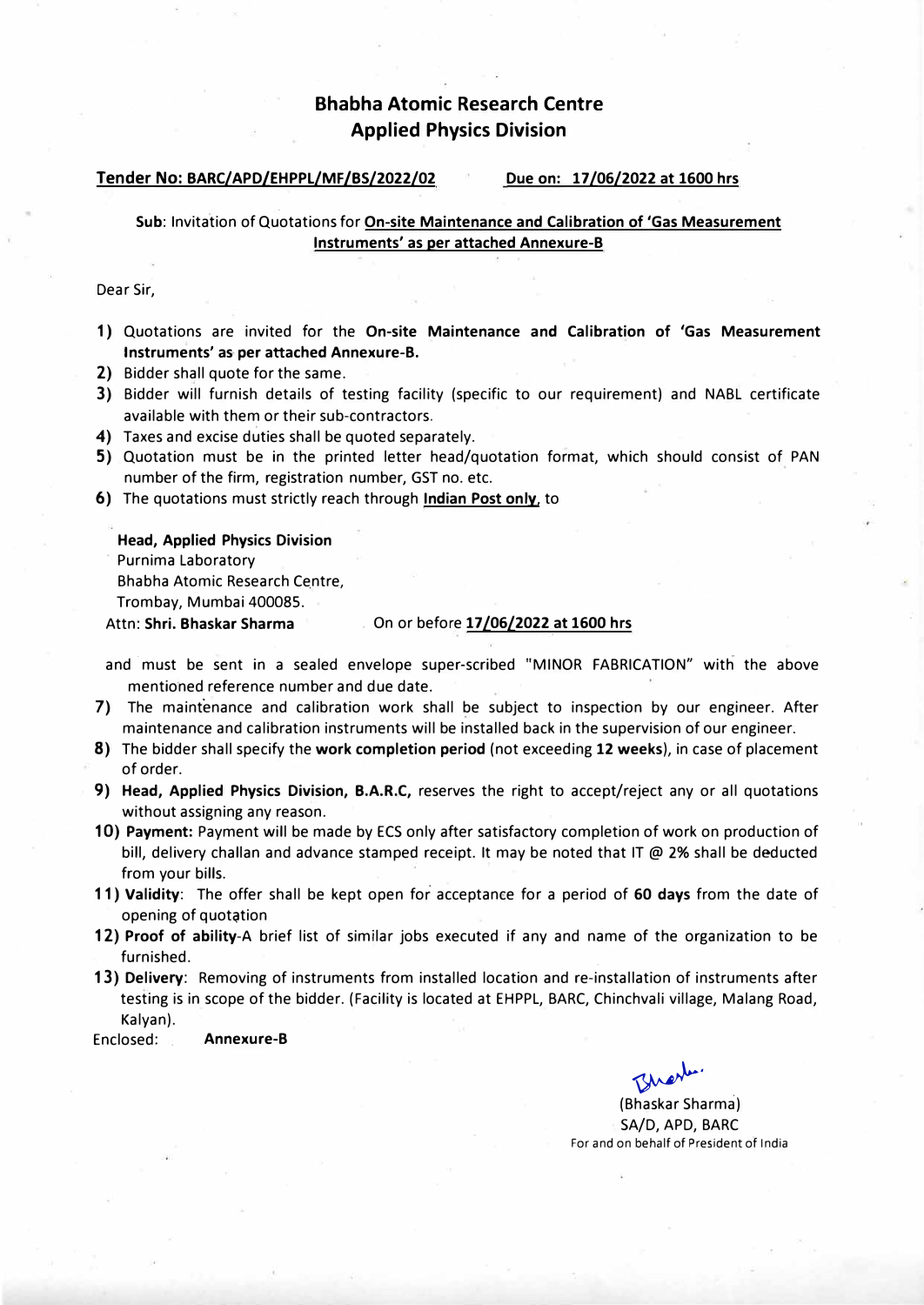# **Bhabha Atomic Research Centre Applied Physics Division**

#### **Tender No: BARC/APD/EHPPL/MF/BS/2022/02 Due on: 17 /06/2022 at 1600 hrs**

## **Sub:** Invitation of Quotations for **On-site Maintenance and Calibration of 'Gas Measurement Instruments' as per attached Annexure-8**

Dear Sir,

- **1)** Quotations are invited for the **On-site Maintenance and Calibration of 'Gas Measurement Instruments' as per attached Annexure-8.**
- **2)** Bidder shall quote for the same.
- 3) Bidder will furnish details of testing facility (specific to our requirement) and NABL certificate available with them or their sub-contractors.
- **4)** Taxes and excise duties shall be quoted separately.
- 5) Quotation must be in the printed letter head/quotation format, which should consist of PAN number of the firm, registration number, GST no. etc.
- **6)** The quotations must strictly reach through **Indian Post only,** to

**Head, Applied Physics Division**  Purnima Laboratory

Bhabha Atomic Research Centre,

Trombay, Mumbai 400085.

### Attn: **Shri. Bhaskar Sharma** . On or before **17/06/2022 at 1600 hrs**

- and must be sent in a sealed envelope super-scribed "MINOR FABRICATION" with the above mentioned reference number and due date.
- 7) The maintenance and calibration work shall be subject to inspection by our engineer. After maintenance and calibration instruments will be installed back in the supervision of our engineer.
- **8)** The bidder shall specify the **work completion period** (not exceeding **12 weeks),** in case of placement of order.
- **9) Head, Applied Physics Division, B.A.R.C,** reserves the right to accept/reject any or all quotations without assigning any reason.
- **10) Payment:** Payment will be made by ECS only after satisfactory completion of work on production of bill, delivery challan and advance stamped receipt. It may be noted that IT  $\omega$  2% shall be deducted from your bills.
- **11) Validity:** The offer shall be kept open for acceptance for a period of **60 days** from the date of opening of quotation
- **12) Proof of ability-A** brief list of similar jobs executed if any and name of the organization to be furnished.
- **13) Delivery:** Removing of instruments from installed location and re-installation of instruments after testing is in scope of the bidder. (Facility is located at EHPPL, BARC, Chinchvali village, Malang Road, Kalyan).

Enclosed: **Annexure-8** 

�- (Bhaskar Sharma)

SA/D, APD, BARC For and on behalf of President of India